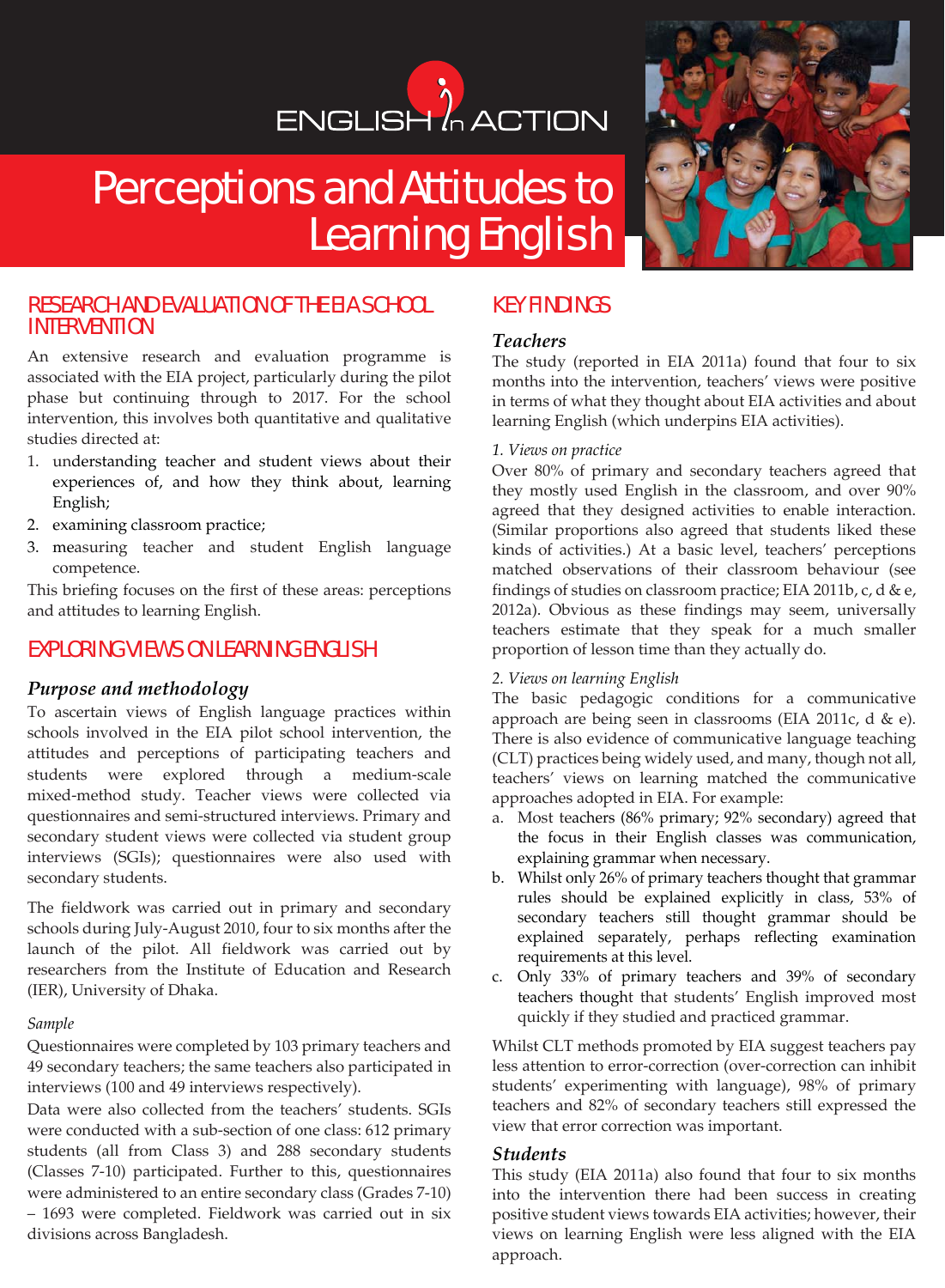# ENGLISH<sup>1</sup> ACTION

# Perceptions and Attitudes to Learning English



# RESEARCH AND EVALUATION OF THE EIA SCHOOL INTERVENTION

An extensive research and evaluation programme is associated with the EIA project, particularly during the pilot phase but continuing through to 2017. For the school intervention, this involves both quantitative and qualitative studies directed at:

- 1. understanding teacher and student views about their experiences of, and how they think about, learning English;
- 2. examining classroom practice;
- 3. measuring teacher and student English language competence.

This briefing focuses on the first of these areas: perceptions and attitudes to learning English.

# EXPLORING VIEWS ON LEARNING ENGLISH

### *Purpose and methodology*

To ascertain views of English language practices within schools involved in the EIA pilot school intervention, the attitudes and perceptions of participating teachers and students were explored through a medium-scale mixed-method study. Teacher views were collected via questionnaires and semi-structured interviews. Primary and secondary student views were collected via student group interviews (SGIs); questionnaires were also used with secondary students.

The fieldwork was carried out in primary and secondary schools during July-August 2010, four to six months after the launch of the pilot. All fieldwork was carried out by researchers from the Institute of Education and Research (IER), University of Dhaka.

#### *Sample*

Questionnaires were completed by 103 primary teachers and 49 secondary teachers; the same teachers also participated in interviews (100 and 49 interviews respectively).

Data were also collected from the teachers' students. SGIs were conducted with a sub-section of one class: 612 primary students (all from Class 3) and 288 secondary students (Classes 7-10) participated. Further to this, questionnaires were administered to an entire secondary class (Grades 7-10) – 1693 were completed. Fieldwork was carried out in six divisions across Bangladesh.

# KEY FINDINGS

## *Teachers*

The study (reported in EIA 2011a) found that four to six months into the intervention, teachers' views were positive in terms of what they thought about EIA activities and about learning English (which underpins EIA activities).

#### *1. Views on practice*

Over 80% of primary and secondary teachers agreed that they mostly used English in the classroom, and over 90% agreed that they designed activities to enable interaction. (Similar proportions also agreed that students liked these kinds of activities.) At a basic level, teachers' perceptions matched observations of their classroom behaviour (see findings of studies on classroom practice; EIA 2011b, c, d & e, 2012a). Obvious as these findings may seem, universally teachers estimate that they speak for a much smaller proportion of lesson time than they actually do.

#### *2. Views on learning English*

The basic pedagogic conditions for a communicative approach are being seen in classrooms (EIA 2011c, d & e). There is also evidence of communicative language teaching (CLT) practices being widely used, and many, though not all, teachers' views on learning matched the communicative approaches adopted in EIA. For example:

- a. Most teachers (86% primary; 92% secondary) agreed that the focus in their English classes was communication, explaining grammar when necessary.
- b. Whilst only 26% of primary teachers thought that grammar rules should be explained explicitly in class, 53% of secondary teachers still thought grammar should be explained separately, perhaps reflecting examination requirements at this level.
- c. Only 33% of primary teachers and 39% of secondary teachers thought that students' English improved most quickly if they studied and practiced grammar.

Whilst CLT methods promoted by EIA suggest teachers pay less attention to error-correction (over-correction can inhibit students' experimenting with language), 98% of primary teachers and 82% of secondary teachers still expressed the view that error correction was important.

#### *Students*

This study (EIA 2011a) also found that four to six months into the intervention there had been success in creating positive student views towards EIA activities; however, their views on learning English were less aligned with the EIA approach.